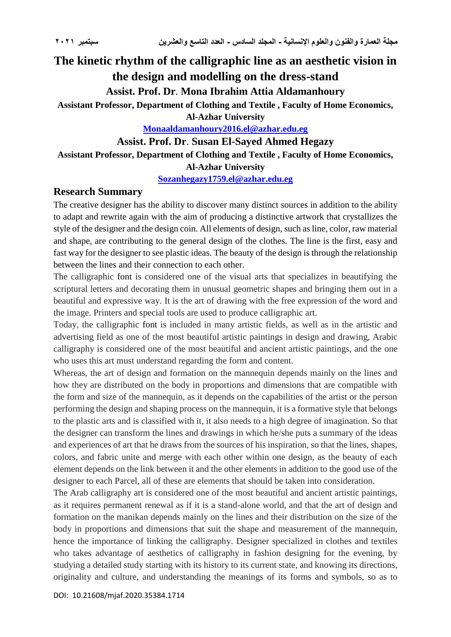# **The kinetic rhythm of the calligraphic line as an aesthetic vision in the design and modelling on the dress-stand**

**Assist. Prof. Dr**. **Mona Ibrahim Attia Aldamanhoury**

**Assistant Professor, Department of Clothing and Textile , Faculty of Home Economics,** 

**Al-Azhar University**

**[Monaaldamanhoury2016.el@azhar.edu.eg](mailto:Monaaldamanhoury2016.el@azhar.edu.eg)**

**Assist. Prof. Dr**. **Susan El-Sayed Ahmed Hegazy**

**Assistant Professor, Department of Clothing and Textile , Faculty of Home Economics,** 

**Al-Azhar University**

**[Sozanhegazy1759.el@azhar.edu.eg](mailto:Sozanhegazy1759.el@azhar.edu.eg)**

### **Research Summary**

The creative designer has the ability to discover many distinct sources in addition to the ability to adapt and rewrite again with the aim of producing a distinctive artwork that crystallizes the style of the designer and the design coin. All elements of design, such as line, color, raw material and shape, are contributing to the general design of the clothes. The line is the first, easy and fast way for the designer to see plastic ideas. The beauty of the design is through the relationship between the lines and their connection to each other.

The calligraphic font is considered one of the visual arts that specializes in beautifying the scriptural letters and decorating them in unusual geometric shapes and bringing them out in a beautiful and expressive way. It is the art of drawing with the free expression of the word and the image. Printers and special tools are used to produce calligraphic art.

Today, the calligraphic font is included in many artistic fields, as well as in the artistic and advertising field as one of the most beautiful artistic paintings in design and drawing, Arabic calligraphy is considered one of the most beautiful and ancient artistic paintings, and the one who uses this art must understand regarding the form and content.

Whereas, the art of design and formation on the mannequin depends mainly on the lines and how they are distributed on the body in proportions and dimensions that are compatible with the form and size of the mannequin, as it depends on the capabilities of the artist or the person performing the design and shaping process on the mannequin, it is a formative style that belongs to the plastic arts and is classified with it, it also needs to a high degree of imagination. So that the designer can transform the lines and drawings in which he/she puts a summary of the ideas and experiences of art that he draws from the sources of his inspiration, so that the lines, shapes, colors, and fabric unite and merge with each other within one design, as the beauty of each element depends on the link between it and the other elements in addition to the good use of the designer to each Parcel, all of these are elements that should be taken into consideration.

The Arab calligraphy art is considered one of the most beautiful and ancient artistic paintings, as it requires permanent renewal as if it is a stand-alone world, and that the art of design and formation on the manikan depends mainly on the lines and their distribution on the size of the body in proportions and dimensions that suit the shape and measurement of the mannequin, hence the importance of linking the calligraphy. Designer specialized in clothes and textiles who takes advantage of aesthetics of calligraphy in fashion designing for the evening, by studying a detailed study starting with its history to its current state, and knowing its directions, originality and culture, and understanding the meanings of its forms and symbols, so as to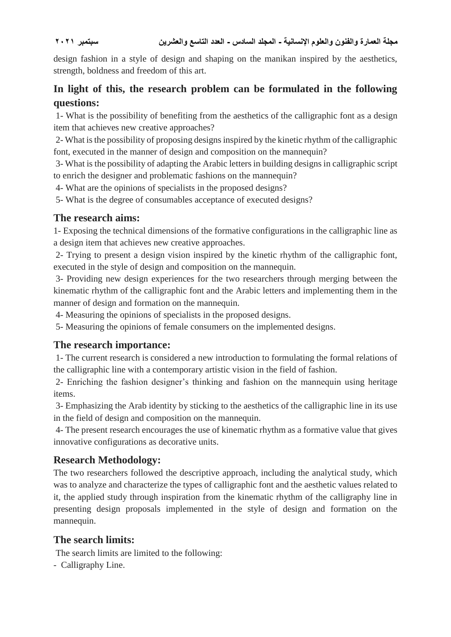design fashion in a style of design and shaping on the manikan inspired by the aesthetics, strength, boldness and freedom of this art.

# **In light of this, the research problem can be formulated in the following questions:**

1- What is the possibility of benefiting from the aesthetics of the calligraphic font as a design item that achieves new creative approaches?

2- What is the possibility of proposing designs inspired by the kinetic rhythm of the calligraphic font, executed in the manner of design and composition on the mannequin?

3- What is the possibility of adapting the Arabic letters in building designs in calligraphic script to enrich the designer and problematic fashions on the mannequin?

4- What are the opinions of specialists in the proposed designs?

5- What is the degree of consumables acceptance of executed designs?

# **The research aims:**

1- Exposing the technical dimensions of the formative configurations in the calligraphic line as a design item that achieves new creative approaches.

2- Trying to present a design vision inspired by the kinetic rhythm of the calligraphic font, executed in the style of design and composition on the mannequin.

3- Providing new design experiences for the two researchers through merging between the kinematic rhythm of the calligraphic font and the Arabic letters and implementing them in the manner of design and formation on the mannequin.

4- Measuring the opinions of specialists in the proposed designs.

5- Measuring the opinions of female consumers on the implemented designs.

# **The research importance:**

1- The current research is considered a new introduction to formulating the formal relations of the calligraphic line with a contemporary artistic vision in the field of fashion.

2- Enriching the fashion designer's thinking and fashion on the mannequin using heritage items.

3- Emphasizing the Arab identity by sticking to the aesthetics of the calligraphic line in its use in the field of design and composition on the mannequin.

4- The present research encourages the use of kinematic rhythm as a formative value that gives innovative configurations as decorative units.

# **Research Methodology:**

The two researchers followed the descriptive approach, including the analytical study, which was to analyze and characterize the types of calligraphic font and the aesthetic values related to it, the applied study through inspiration from the kinematic rhythm of the calligraphy line in presenting design proposals implemented in the style of design and formation on the mannequin.

# **The search limits:**

The search limits are limited to the following:

- Calligraphy Line.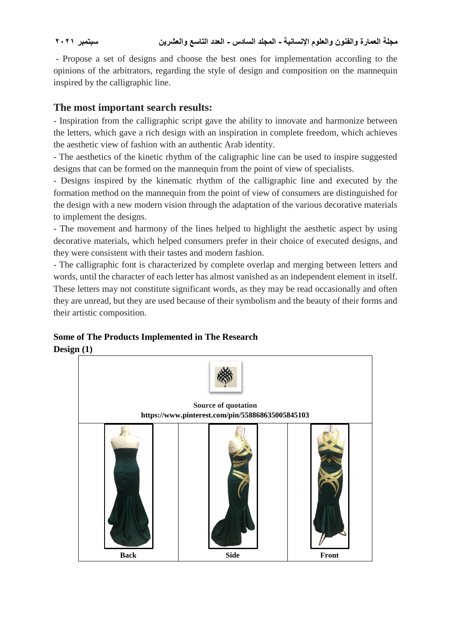- Propose a set of designs and choose the best ones for implementation according to the opinions of the arbitrators, regarding the style of design and composition on the mannequin inspired by the calligraphic line.

# **The most important search results:**

- Inspiration from the calligraphic script gave the ability to innovate and harmonize between the letters, which gave a rich design with an inspiration in complete freedom, which achieves the aesthetic view of fashion with an authentic Arab identity.

- The aesthetics of the kinetic rhythm of the caligraphic line can be used to inspire suggested designs that can be formed on the mannequin from the point of view of specialists.

- Designs inspired by the kinematic rhythm of the calligraphic line and executed by the formation method on the mannequin from the point of view of consumers are distinguished for the design with a new modern vision through the adaptation of the various decorative materials to implement the designs.

- The movement and harmony of the lines helped to highlight the aesthetic aspect by using decorative materials, which helped consumers prefer in their choice of executed designs, and they were consistent with their tastes and modern fashion.

- The calligraphic font is characterized by complete overlap and merging between letters and words, until the character of each letter has almost vanished as an independent element in itself. These letters may not constitute significant words, as they may be read occasionally and often they are unread, but they are used because of their symbolism and the beauty of their forms and their artistic composition.

### **Some of The Products Implemented in The Research Design (1)**

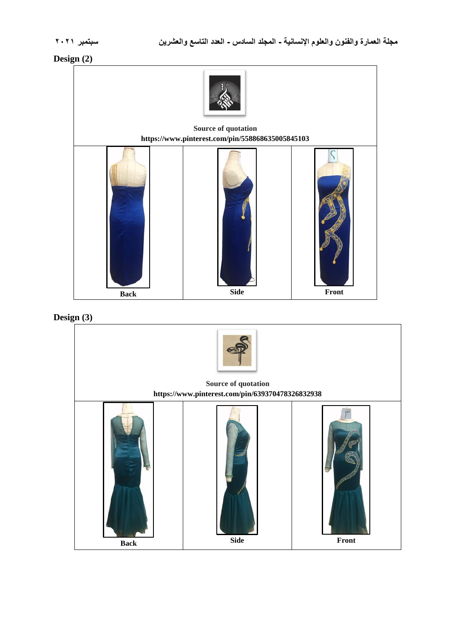### **Design (2)**





### **Design (3)**

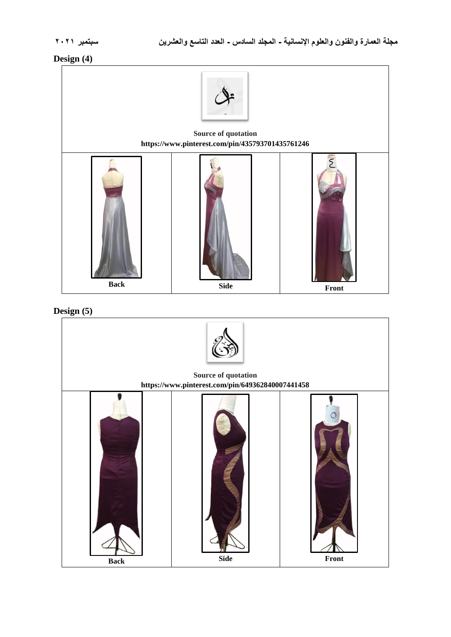# **Design (4)**





| Source of quotation<br>https://www.pinterest.com/pin/649362840007441458 |             |                                            |
|-------------------------------------------------------------------------|-------------|--------------------------------------------|
| <b>Back</b>                                                             | <b>Side</b> | $\ensuremath{\textnormal{\textbf{Front}}}$ |